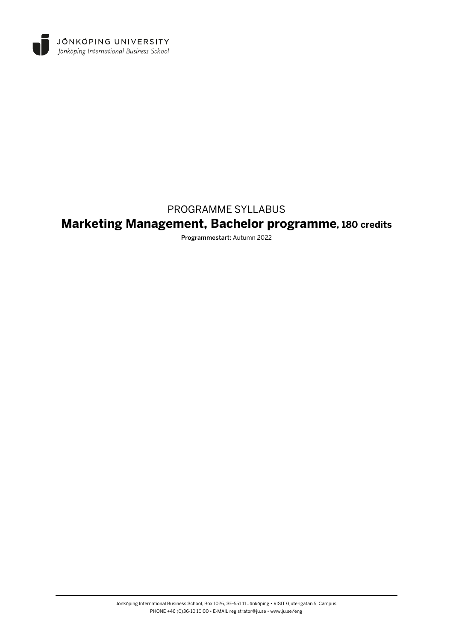

# PROGRAMME SYLLABUS

# **Marketing Management, Bachelor programme, 180 credits**

Programmestart: Autumn 2022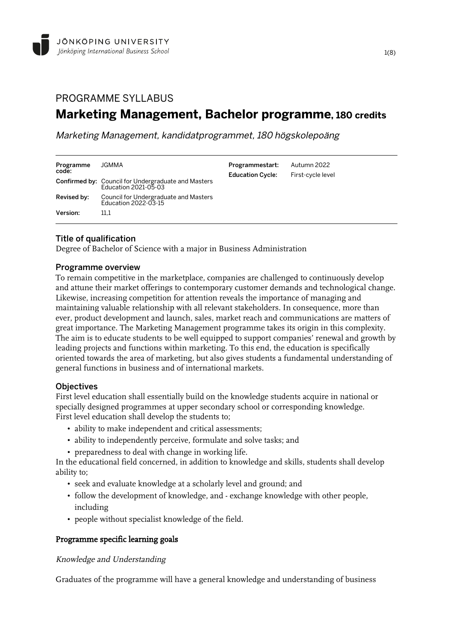# PROGRAMME SYLLABUS **Marketing Management, Bachelor programme, 180 credits**

Marketing Management, kandidatprogrammet, 180 högskolepoäng

| Programme<br>code:      | JGMMA<br><b>Confirmed by: Council for Undergraduate and Masters</b><br>Education 2021-05-03 | Programmestart:<br><b>Education Cycle:</b> | Autumn 2022<br>First-cycle level |
|-------------------------|---------------------------------------------------------------------------------------------|--------------------------------------------|----------------------------------|
| Revised by:<br>Version: | Council for Undergraduate and Masters<br>Education 2022-03-15<br>11.1                       |                                            |                                  |

# Title of qualification

Degree of Bachelor of Science with a major in Business Administration

### Programme overview

To remain competitive in the marketplace, companies are challenged to continuously develop and attune their market offerings to contemporary customer demands and technological change. Likewise, increasing competition for attention reveals the importance of managing and maintaining valuable relationship with all relevant stakeholders. In consequence, more than ever, product development and launch, sales, market reach and communications are matters of great importance. The Marketing Management programme takes its origin in this complexity. The aim is to educate students to be well equipped to support companies' renewal and growth by leading projects and functions within marketing. To this end, the education is specifically oriented towards the area of marketing, but also gives students a fundamental understanding of general functions in business and of international markets.

# **Objectives**

First level education shall essentially build on the knowledge students acquire in national or specially designed programmes at upper secondary school or corresponding knowledge. First level education shall develop the students to;

- ability to make independent and critical assessments;
- ability to independently perceive, formulate and solve tasks; and
- preparedness to deal with change in working life.

In the educational field concerned, in addition to knowledge and skills, students shall develop ability to;

- seek and evaluate knowledge at a scholarly level and ground; and
- follow the development of knowledge, and exchange knowledge with other people, including
- people without specialist knowledge of the field.

# Programme specific learning goals

# Knowledge and Understanding

Graduates of the programme will have a general knowledge and understanding of business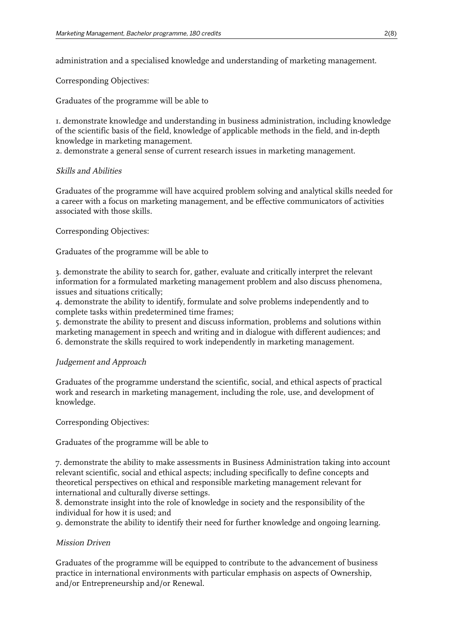administration and a specialised knowledge and understanding of marketing management.

Corresponding Objectives:

Graduates of the programme will be able to

1. demonstrate knowledge and understanding in business administration, including knowledge of the scientific basis of the field, knowledge of applicable methods in the field, and in-depth knowledge in marketing management.

2. demonstrate a general sense of current research issues in marketing management.

# Skills and Abilities

Graduates of the programme will have acquired problem solving and analytical skills needed for a career with a focus on marketing management, and be effective communicators of activities associated with those skills.

Corresponding Objectives:

Graduates of the programme will be able to

3. demonstrate the ability to search for, gather, evaluate and critically interpret the relevant information for a formulated marketing management problem and also discuss phenomena, issues and situations critically;

4. demonstrate the ability to identify, formulate and solve problems independently and to complete tasks within predetermined time frames;

5. demonstrate the ability to present and discuss information, problems and solutions within marketing management in speech and writing and in dialogue with different audiences; and 6. demonstrate the skills required to work independently in marketing management.

# Judgement and Approach

Graduates of the programme understand the scientific, social, and ethical aspects of practical work and research in marketing management, including the role, use, and development of knowledge.

Corresponding Objectives:

Graduates of the programme will be able to

7. demonstrate the ability to make assessments in Business Administration taking into account relevant scientific, social and ethical aspects; including specifically to define concepts and theoretical perspectives on ethical and responsible marketing management relevant for international and culturally diverse settings.

8. demonstrate insight into the role of knowledge in society and the responsibility of the individual for how it is used; and

9. demonstrate the ability to identify their need for further knowledge and ongoing learning.

# Mission Driven

Graduates of the programme will be equipped to contribute to the advancement of business practice in international environments with particular emphasis on aspects of Ownership, and/or Entrepreneurship and/or Renewal.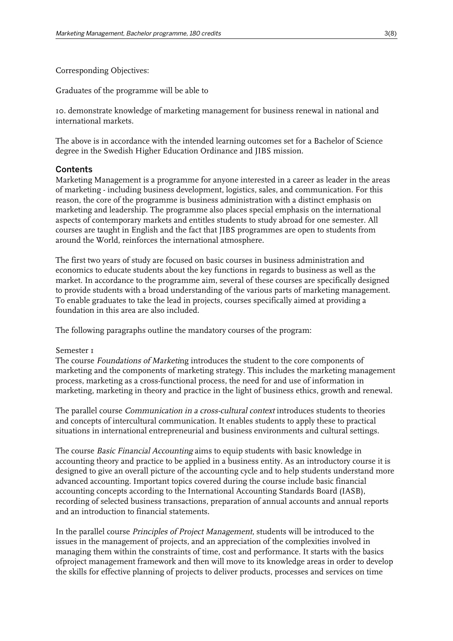Corresponding Objectives:

Graduates of the programme will be able to

10. demonstrate knowledge of marketing management for business renewal in national and international markets.

The above is in accordance with the intended learning outcomes set for a Bachelor of Science degree in the Swedish Higher Education Ordinance and JIBS mission.

# **Contents**

Marketing Management is a programme for anyone interested in a career as leader in the areas of marketing - including business development, logistics, sales, and communication. For this reason, the core of the programme is business administration with a distinct emphasis on marketing and leadership. The programme also places special emphasis on the international aspects of contemporary markets and entitles students to study abroad for one semester. All courses are taught in English and the fact that JIBS programmes are open to students from around the World, reinforces the international atmosphere.

The first two years of study are focused on basic courses in business administration and economics to educate students about the key functions in regards to business as well as the market. In accordance to the programme aim, several of these courses are specifically designed to provide students with a broad understanding of the various parts of marketing management. To enable graduates to take the lead in projects, courses specifically aimed at providing a foundation in this area are also included.

The following paragraphs outline the mandatory courses of the program:

#### Semester 1

The course Foundations of Marketing introduces the student to the core components of marketing and the components of marketing strategy. This includes the marketing management process, marketing as a cross-functional process, the need for and use of information in marketing, marketing in theory and practice in the light of business ethics, growth and renewal.

The parallel course Communication in a cross-cultural context introduces students to theories and concepts of intercultural communication. It enables students to apply these to practical situations in international entrepreneurial and business environments and cultural settings.

The course Basic Financial Accounting aims to equip students with basic knowledge in accounting theory and practice to be applied in a business entity. As an introductory course it is designed to give an overall picture of the accounting cycle and to help students understand more advanced accounting. Important topics covered during the course include basic financial accounting concepts according to the International Accounting Standards Board (IASB), recording of selected business transactions, preparation of annual accounts and annual reports and an introduction to financial statements.

In the parallel course Principles of Project Management, students will be introduced to the issues in the management of projects, and an appreciation of the complexities involved in managing them within the constraints of time, cost and performance. It starts with the basics ofproject management framework and then will move to its knowledge areas in order to develop the skills for effective planning of projects to deliver products, processes and services on time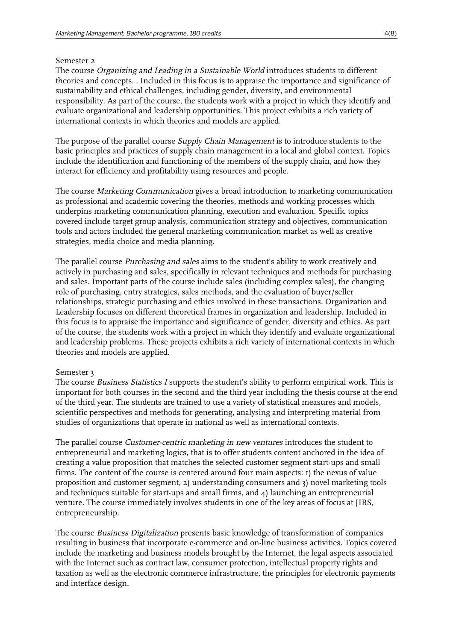#### Semester 2

The course Organizing and Leading in a Sustainable World introduces students to different theories and concepts. . Included in this focus is to appraise the importance and significance of sustainability and ethical challenges, including gender, diversity, and environmental responsibility. As part of the course, the students work with a project in which they identify and evaluate organizational and leadership opportunities. This project exhibits a rich variety of international contexts in which theories and models are applied.

The purpose of the parallel course *Supply Chain Management* is to introduce students to the basic principles and practices of supply chain management in a local and global context. Topics include the identification and functioning of the members of the supply chain, and how they interact for efficiency and profitability using resources and people.

The course Marketing Communication gives a broad introduction to marketing communication as professional and academic covering the theories, methods and working processes which underpins marketing communication planning, execution and evaluation. Specific topics covered include target group analysis, communication strategy and objectives, communication tools and actors included the general marketing communication market as well as creative strategies, media choice and media planning.

The parallel course Purchasing and sales aims to the student's ability to work creatively and actively in purchasing and sales, specifically in relevant techniques and methods for purchasing and sales. Important parts of the course include sales (including complex sales), the changing role of purchasing, entry strategies, sales methods, and the evaluation of buyer/seller relationships, strategic purchasing and ethics involved in these transactions. Organization and Leadership focuses on different theoretical frames in organization and leadership. Included in this focus is to appraise the importance and significance of gender, diversity and ethics. As part of the course, the students work with a project in which they identify and evaluate organizational and leadership problems. These projects exhibits a rich variety of international contexts in which theories and models are applied.

# Semester 3

The course *Business Statistics I* supports the student's ability to perform empirical work. This is important for both courses in the second and the third year including the thesis course at the end of the third year. The students are trained to use a variety of statistical measures and models, scientific perspectives and methods for generating, analysing and interpreting material from studies of organizations that operate in national as well as international contexts.

The parallel course *Customer-centric marketing in new ventures* introduces the student to entrepreneurial and marketing logics, that is to offer students content anchored in the idea of creating a value proposition that matches the selected customer segment start-ups and small firms. The content of the course is centered around four main aspects: 1) the nexus of value proposition and customer segment, 2) understanding consumers and 3) novel marketing tools and techniques suitable for start-ups and small firms, and 4) launching an entrepreneurial venture. The course immediately involves students in one of the key areas of focus at JIBS, entrepreneurship.

The course Business Digitalization presents basic knowledge of transformation of companies resulting in business that incorporate e-commerce and on-line business activities. Topics covered include the marketing and business models brought by the Internet, the legal aspects associated with the Internet such as contract law, consumer protection, intellectual property rights and taxation as well as the electronic commerce infrastructure, the principles for electronic payments and interface design.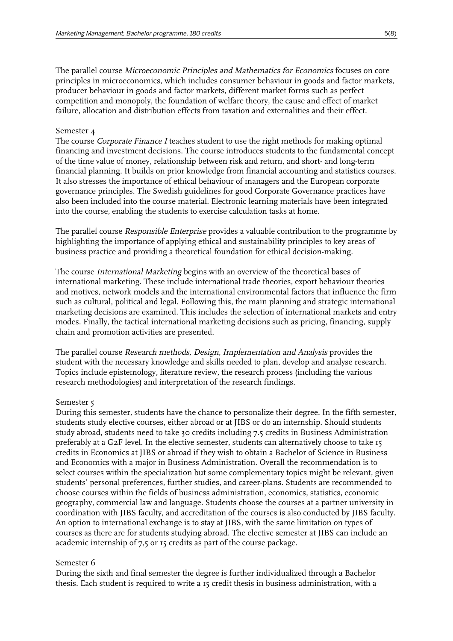The parallel course Microeconomic Principles and Mathematics for Economics focuses on core principles in microeconomics, which includes consumer behaviour in goods and factor markets, producer behaviour in goods and factor markets, different market forms such as perfect competition and monopoly, the foundation of welfare theory, the cause and effect of market failure, allocation and distribution effects from taxation and externalities and their effect.

#### Semester 4

The course *Corporate Finance I* teaches student to use the right methods for making optimal financing and investment decisions. The course introduces students to the fundamental concept of the time value of money, relationship between risk and return, and short- and long-term financial planning. It builds on prior knowledge from financial accounting and statistics courses. It also stresses the importance of ethical behaviour of managers and the European corporate governance principles. The Swedish guidelines for good Corporate Governance practices have also been included into the course material. Electronic learning materials have been integrated into the course, enabling the students to exercise calculation tasks at home.

The parallel course Responsible Enterprise provides a valuable contribution to the programme by highlighting the importance of applying ethical and sustainability principles to key areas of business practice and providing a theoretical foundation for ethical decision-making.

The course International Marketing begins with an overview of the theoretical bases of international marketing. These include international trade theories, export behaviour theories and motives, network models and the international environmental factors that influence the firm such as cultural, political and legal. Following this, the main planning and strategic international marketing decisions are examined. This includes the selection of international markets and entry modes. Finally, the tactical international marketing decisions such as pricing, financing, supply chain and promotion activities are presented.

The parallel course Research methods, Design, Implementation and Analysis provides the student with the necessary knowledge and skills needed to plan, develop and analyse research. Topics include epistemology, literature review, the research process (including the various research methodologies) and interpretation of the research findings.

# Semester 5

During this semester, students have the chance to personalize their degree. In the fifth semester, students study elective courses, either abroad or at JIBS or do an internship. Should students study abroad, students need to take 30 credits including 7.5 credits in Business Administration preferably at a G2F level. In the elective semester, students can alternatively choose to take 15 credits in Economics at JIBS or abroad if they wish to obtain a Bachelor of Science in Business and Economics with a major in Business Administration. Overall the recommendation is to select courses within the specialization but some complementary topics might be relevant, given students' personal preferences, further studies, and career-plans. Students are recommended to choose courses within the fields of business administration, economics, statistics, economic geography, commercial law and language. Students choose the courses at a partner university in coordination with JIBS faculty, and accreditation of the courses is also conducted by JIBS faculty. An option to international exchange is to stay at JIBS, with the same limitation on types of courses as there are for students studying abroad. The elective semester at JIBS can include an academic internship of 7,5 or 15 credits as part of the course package.

#### Semester 6

During the sixth and final semester the degree is further individualized through a Bachelor thesis. Each student is required to write a 15 credit thesis in business administration, with a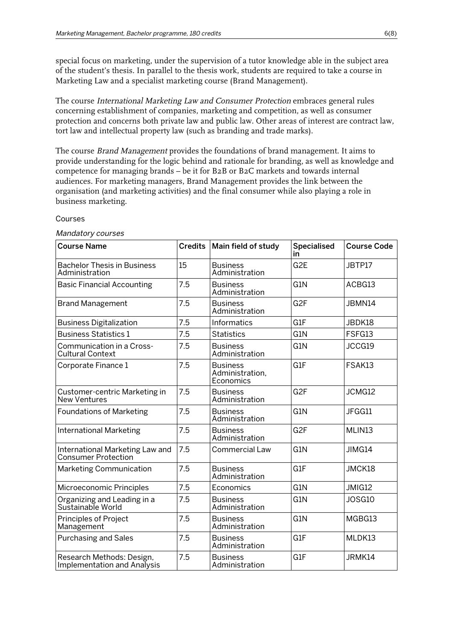special focus on marketing, under the supervision of a tutor knowledge able in the subject area of the student's thesis. In parallel to the thesis work, students are required to take a course in Marketing Law and a specialist marketing course (Brand Management).

The course International Marketing Law and Consumer Protection embraces general rules concerning establishment of companies, marketing and competition, as well as consumer protection and concerns both private law and public law. Other areas of interest are contract law, tort law and intellectual property law (such as branding and trade marks).

The course Brand Management provides the foundations of brand management. It aims to provide understanding for the logic behind and rationale for branding, as well as knowledge and competence for managing brands – be it for B2B or B2C markets and towards internal audiences. For marketing managers, Brand Management provides the link between the organisation (and marketing activities) and the final consumer while also playing a role in business marketing.

#### Courses

#### Mandatory courses

| <b>Course Name</b>                                            |     | Credits   Main field of study                   | <b>Specialised</b><br>in | <b>Course Code</b> |
|---------------------------------------------------------------|-----|-------------------------------------------------|--------------------------|--------------------|
| <b>Bachelor Thesis in Business</b><br>Administration          | 15  | <b>Business</b><br>Administration               | G <sub>2</sub> E         | JBTP17             |
| <b>Basic Financial Accounting</b>                             | 7.5 | <b>Business</b><br>Administration               | G <sub>1</sub> N         | ACBG13             |
| <b>Brand Management</b>                                       | 7.5 | <b>Business</b><br>Administration               | G <sub>2F</sub>          | JBMN14             |
| <b>Business Digitalization</b>                                | 7.5 | Informatics                                     | G1F                      | JBDK18             |
| <b>Business Statistics 1</b>                                  | 7.5 | <b>Statistics</b>                               | G1N                      | FSFG13             |
| Communication in a Cross-<br><b>Cultural Context</b>          | 7.5 | <b>Business</b><br>Administration               | G1N                      | JCCG19             |
| Corporate Finance 1                                           | 7.5 | <b>Business</b><br>Administration,<br>Economics | G1F                      | FSAK13             |
| Customer-centric Marketing in<br><b>New Ventures</b>          | 7.5 | <b>Business</b><br>Administration               | G <sub>2F</sub>          | JCMG12             |
| <b>Foundations of Marketing</b>                               | 7.5 | <b>Business</b><br>Administration               | G <sub>1</sub> N         | JFGG11             |
| <b>International Marketing</b>                                | 7.5 | <b>Business</b><br>Administration               | G <sub>2F</sub>          | MLIN <sub>13</sub> |
| International Marketing Law and<br><b>Consumer Protection</b> | 7.5 | <b>Commercial Law</b>                           | G1N                      | JIMG14             |
| Marketing Communication                                       | 7.5 | <b>Business</b><br>Administration               | G <sub>1</sub> F         | JMCK18             |
| Microeconomic Principles                                      | 7.5 | Economics                                       | G1N                      | JMIG12             |
| Organizing and Leading in a<br>Sustainable World              | 7.5 | <b>Business</b><br>Administration               | G1N                      | JOSG10             |
| <b>Principles of Project</b><br>Management                    | 7.5 | <b>Business</b><br>Administration               | G1N                      | MGBG13             |
| <b>Purchasing and Sales</b>                                   | 7.5 | <b>Business</b><br>Administration               | G1F                      | MLDK13             |
| Research Methods: Design,<br>Implementation and Analysis      | 7.5 | <b>Business</b><br>Administration               | G1F                      | JRMK14             |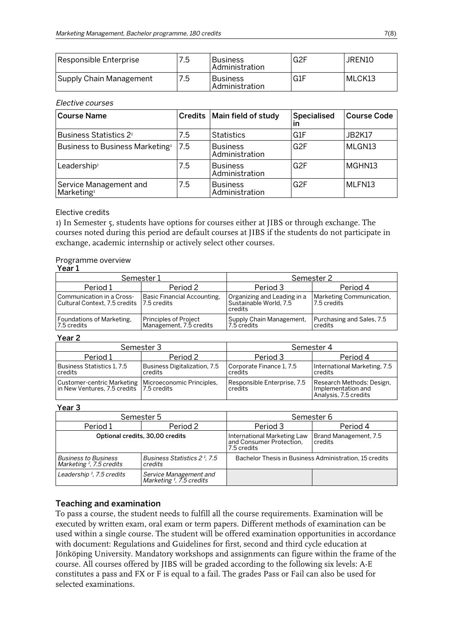| Responsible Enterprise  | 7.5 | l Business<br>l Administration      | ⊥G2F  | JREN10  |
|-------------------------|-----|-------------------------------------|-------|---------|
| Supply Chain Management | 7.5 | l Business<br><b>Administration</b> | l G1F | IMLCK13 |

#### Elective courses

| <b>Course Name</b>                               | <b>Credits</b> | Main field of study               | Specialised<br>in | <b>Course Code</b> |
|--------------------------------------------------|----------------|-----------------------------------|-------------------|--------------------|
| Business Statistics 2 <sup>1</sup>               | 7.5            | <b>Statistics</b>                 | G1F               | <b>JB2K17</b>      |
| Business to Business Marketing <sup>1</sup>      | 7.5            | <b>Business</b><br>Administration | G <sub>2F</sub>   | MLGN13             |
| Leadership <sup>1</sup>                          | 7.5            | Business<br>Administration        | G <sub>2F</sub>   | MGHN13             |
| Service Management and<br>Marketing <sup>1</sup> | 7.5            | <b>Business</b><br>Administration | G <sub>2F</sub>   | MLFN13             |

#### Elective credits

1) In Semester 5, students have options for courses either at JIBS or through exchange. The courses noted during this period are default courses at JIBS if the students do not participate in exchange, academic internship or actively select other courses.

#### Programme overview

| Year 1                                                     |                                                         |                                                                  |                                         |  |
|------------------------------------------------------------|---------------------------------------------------------|------------------------------------------------------------------|-----------------------------------------|--|
|                                                            | Semester 1                                              | Semester 2                                                       |                                         |  |
| Period 1                                                   | Period 2                                                | Period 3                                                         | Period 4                                |  |
| Communication in a Cross-<br>Cultural Context, 7.5 credits | Basic Financial Accounting,<br>17.5 credits             | Organizing and Leading in a<br>Sustainable World, 7.5<br>credits | Marketing Communication,<br>7.5 credits |  |
| Foundations of Marketing,<br>7.5 credits                   | <b>Principles of Project</b><br>Management, 7.5 credits | Supply Chain Management,<br>7.5 credits                          | Purchasing and Sales, 7.5<br>credits    |  |

#### Year 2

|                                                                                                    | Semester 3                              | Semester 4                             |                                                                          |  |
|----------------------------------------------------------------------------------------------------|-----------------------------------------|----------------------------------------|--------------------------------------------------------------------------|--|
| Period 1                                                                                           | Period 2                                | Period 3                               | Period 4                                                                 |  |
| Business Statistics 1, 7.5<br>l credits                                                            | Business Digitalization, 7.5<br>credits | Corporate Finance 1, 7.5<br>credits    | International Marketing, 7.5<br>credits                                  |  |
| Customer-centric Marketing   Microeconomic Principles,<br>in New Ventures, 7.5 credits 7.5 credits |                                         | Responsible Enterprise, 7.5<br>credits | Research Methods: Design,<br>Implementation and<br>Analysis, 7.5 credits |  |

#### Year 3

| Semester 5                                                                                                        |                                                                | Semester 6                                                               |                                  |
|-------------------------------------------------------------------------------------------------------------------|----------------------------------------------------------------|--------------------------------------------------------------------------|----------------------------------|
| Period 2<br>Period 1                                                                                              |                                                                | Period 3                                                                 | Period 4                         |
|                                                                                                                   | Optional credits, 30,00 credits                                | International Marketing Law<br>  and Consumer Protection,<br>7.5 credits | Brand Management, 7.5<br>credits |
| Business Statistics 2 <sup>1</sup> , 7.5<br><b>Business to Business</b><br>Marketing $I$ , 7.5 credits<br>credits |                                                                | Bachelor Thesis in Business Administration, 15 credits                   |                                  |
| Leadership <sup>1</sup> , 7.5 credits                                                                             | Service Management and<br>Marketing <sup>1</sup> , 7.5 credits |                                                                          |                                  |

# Teaching and examination

To pass a course, the student needs to fulfill all the course requirements. Examination will be executed by written exam, oral exam or term papers. Different methods of examination can be used within a single course. The student will be offered examination opportunities in accordance with document: Regulations and Guidelines for first, second and third cycle education at Jönköping University. Mandatory workshops and assignments can figure within the frame of the course. All courses offered by JIBS will be graded according to the following six levels: A-E constitutes a pass and FX or F is equal to a fail. The grades Pass or Fail can also be used for selected examinations.